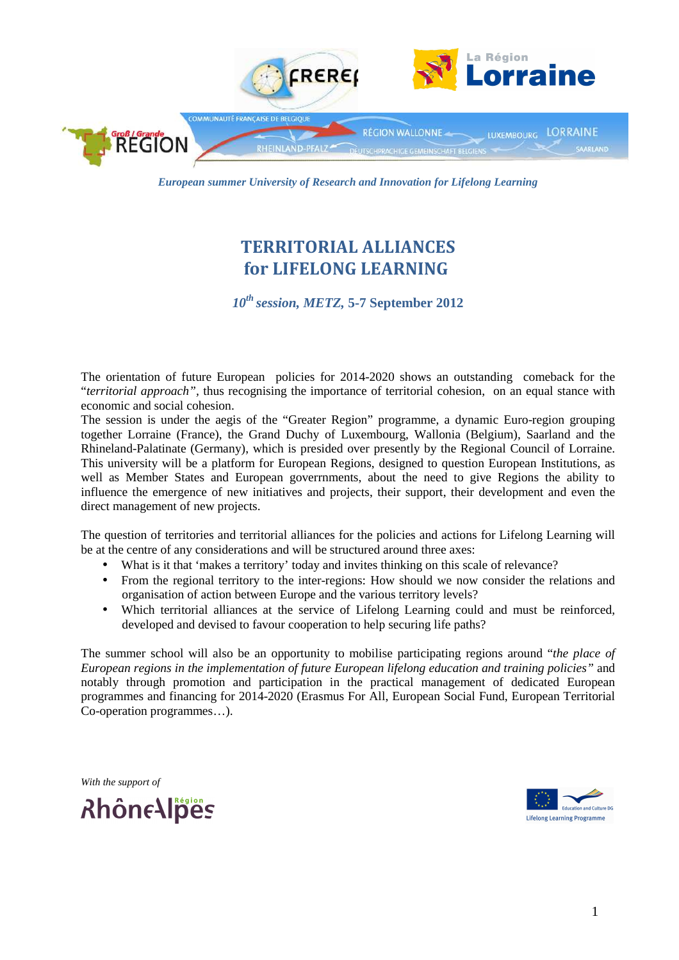

*European summer University of Research and Innovation for Lifelong Learning* 

# TERRITORIAL ALLIANCES for LIFELONG LEARNING

*10th session, METZ,* **5-7 September 2012**

The orientation of future European policies for 2014-2020 shows an outstanding comeback for the "*territorial approach",* thus recognising the importance of territorial cohesion, on an equal stance with economic and social cohesion.

The session is under the aegis of the "Greater Region" programme, a dynamic Euro-region grouping together Lorraine (France), the Grand Duchy of Luxembourg, Wallonia (Belgium), Saarland and the Rhineland-Palatinate (Germany), which is presided over presently by the Regional Council of Lorraine. This university will be a platform for European Regions, designed to question European Institutions, as well as Member States and European goverrnments, about the need to give Regions the ability to influence the emergence of new initiatives and projects, their support, their development and even the direct management of new projects.

The question of territories and territorial alliances for the policies and actions for Lifelong Learning will be at the centre of any considerations and will be structured around three axes:

- What is it that 'makes a territory' today and invites thinking on this scale of relevance?
- From the regional territory to the inter-regions: How should we now consider the relations and organisation of action between Europe and the various territory levels?
- Which territorial alliances at the service of Lifelong Learning could and must be reinforced, developed and devised to favour cooperation to help securing life paths?

The summer school will also be an opportunity to mobilise participating regions around "*the place of European regions in the implementation of future European lifelong education and training policies"* and notably through promotion and participation in the practical management of dedicated European programmes and financing for 2014-2020 (Erasmus For All, European Social Fund, European Territorial Co-operation programmes…).

*With the support of*

RhôneAlpes

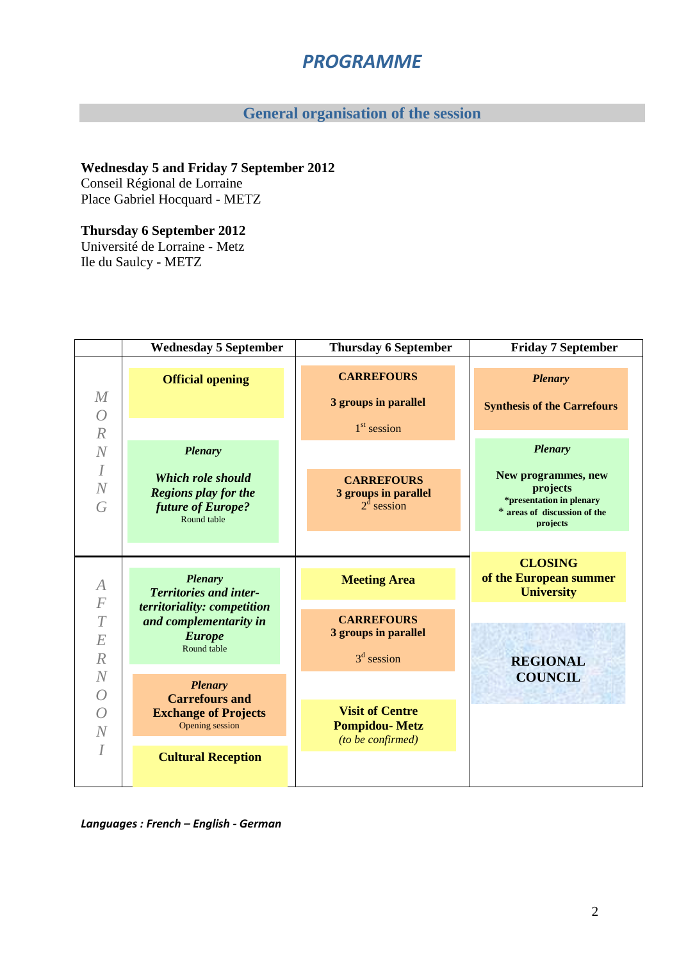# PROGRAMME

## **General organisation of the session**

## **Wednesday 5 and Friday 7 September 2012**

Conseil Régional de Lorraine Place Gabriel Hocquard - METZ

### **Thursday 6 September 2012**

Université de Lorraine - Metz Ile du Saulcy - METZ

|                                                 | <b>Wednesday 5 September</b>                                                                | <b>Thursday 6 September</b>                                         | <b>Friday 7 September</b>                                                                               |
|-------------------------------------------------|---------------------------------------------------------------------------------------------|---------------------------------------------------------------------|---------------------------------------------------------------------------------------------------------|
| M<br>$\overline{O}$<br>$\mathbb{R}$<br>$\cal N$ | <b>Official opening</b><br><b>Plenary</b>                                                   | <b>CARREFOURS</b><br>3 groups in parallel<br>$1st$ session          | <b>Plenary</b><br><b>Synthesis of the Carrefours</b><br><b>Plenary</b>                                  |
| $\overline{I}$<br>N<br>G                        | <b>Which role should</b><br><b>Regions play for the</b><br>future of Europe?<br>Round table | <b>CARREFOURS</b><br>3 groups in parallel<br>$2^d$ session          | New programmes, new<br>projects<br>*presentation in plenary<br>* areas of discussion of the<br>projects |
| $\overline{A}$<br>$\cal F$                      | <b>Plenary</b><br><b>Territories and inter-</b>                                             | <b>Meeting Area</b>                                                 | <b>CLOSING</b><br>of the European summer<br><b>University</b>                                           |
| $\overline{T}$<br>E<br>$\cal R$                 | territoriality: competition<br>and complementarity in<br><b>Europe</b><br>Round table       | <b>CARREFOURS</b><br>3 groups in parallel<br>$3d$ session           | <b>REGIONAL</b>                                                                                         |
| N<br>$\overline{O}$                             | <b>Plenary</b><br><b>Carrefours and</b>                                                     |                                                                     | <b>COUNCIL</b>                                                                                          |
| $\overline{O}$<br>N                             | <b>Exchange of Projects</b><br>Opening session                                              | <b>Visit of Centre</b><br><b>Pompidou-Metz</b><br>(to be confirmed) |                                                                                                         |
| $\overline{I}$                                  | <b>Cultural Reception</b>                                                                   |                                                                     |                                                                                                         |

Languages : French – English - German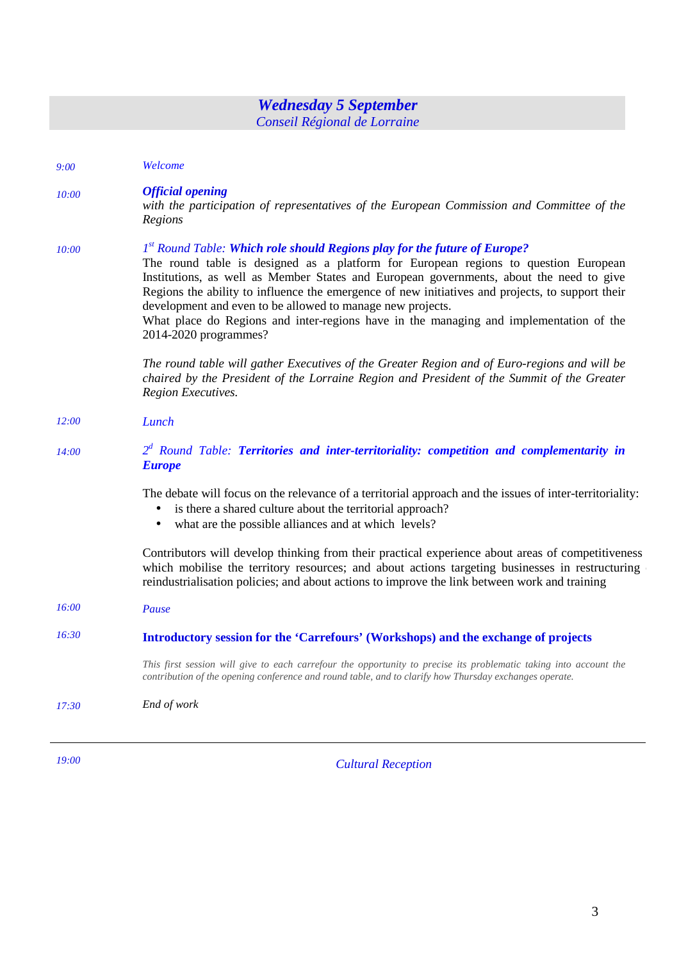| <b>Wednesday 5 September</b><br>Conseil Régional de Lorraine |                                                                                                                                                                                                                                                                                                                                                                                                                                                                                                                                                              |  |
|--------------------------------------------------------------|--------------------------------------------------------------------------------------------------------------------------------------------------------------------------------------------------------------------------------------------------------------------------------------------------------------------------------------------------------------------------------------------------------------------------------------------------------------------------------------------------------------------------------------------------------------|--|
| 9:00                                                         | Welcome                                                                                                                                                                                                                                                                                                                                                                                                                                                                                                                                                      |  |
| 10:00                                                        | <b>Official opening</b><br>with the participation of representatives of the European Commission and Committee of the<br>Regions                                                                                                                                                                                                                                                                                                                                                                                                                              |  |
| 10:00                                                        | 1 <sup>st</sup> Round Table: Which role should Regions play for the future of Europe?<br>The round table is designed as a platform for European regions to question European<br>Institutions, as well as Member States and European governments, about the need to give<br>Regions the ability to influence the emergence of new initiatives and projects, to support their<br>development and even to be allowed to manage new projects.<br>What place do Regions and inter-regions have in the managing and implementation of the<br>2014-2020 programmes? |  |
|                                                              | The round table will gather Executives of the Greater Region and of Euro-regions and will be<br>chaired by the President of the Lorraine Region and President of the Summit of the Greater<br>Region Executives.                                                                                                                                                                                                                                                                                                                                             |  |
| 12:00                                                        | Lunch                                                                                                                                                                                                                                                                                                                                                                                                                                                                                                                                                        |  |
| 14:00                                                        | $2d$ Round Table: Territories and inter-territoriality: competition and complementarity in<br><b>Europe</b>                                                                                                                                                                                                                                                                                                                                                                                                                                                  |  |
|                                                              | The debate will focus on the relevance of a territorial approach and the issues of inter-territoriality:<br>is there a shared culture about the territorial approach?<br>$\bullet$<br>• what are the possible alliances and at which levels?                                                                                                                                                                                                                                                                                                                 |  |
|                                                              | Contributors will develop thinking from their practical experience about areas of competitiveness<br>which mobilise the territory resources; and about actions targeting businesses in restructuring<br>reindustrialisation policies; and about actions to improve the link between work and training                                                                                                                                                                                                                                                        |  |
| 16:00                                                        | Pause                                                                                                                                                                                                                                                                                                                                                                                                                                                                                                                                                        |  |
| 16:30                                                        | Introductory session for the 'Carrefours' (Workshops) and the exchange of projects                                                                                                                                                                                                                                                                                                                                                                                                                                                                           |  |
|                                                              | This first session will give to each carrefour the opportunity to precise its problematic taking into account the<br>contribution of the opening conference and round table, and to clarify how Thursday exchanges operate.                                                                                                                                                                                                                                                                                                                                  |  |
| 17:30                                                        | End of work                                                                                                                                                                                                                                                                                                                                                                                                                                                                                                                                                  |  |

*19:00 Cultural Reception*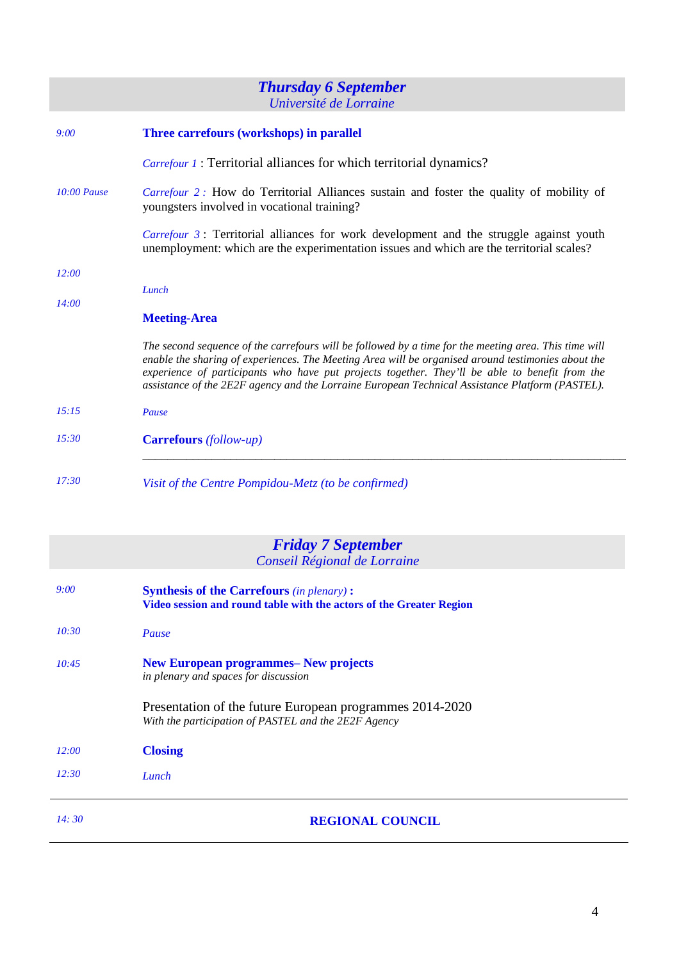## *Thursday 6 September Université de Lorraine*

| 9:00          | Three carrefours (workshops) in parallel                                                                                                                                                                                                                                                                                                                                                                         |  |
|---------------|------------------------------------------------------------------------------------------------------------------------------------------------------------------------------------------------------------------------------------------------------------------------------------------------------------------------------------------------------------------------------------------------------------------|--|
|               | <i>Carrefour 1</i> : Territorial alliances for which territorial dynamics?                                                                                                                                                                                                                                                                                                                                       |  |
| $10:00$ Pause | Carrefour 2: How do Territorial Alliances sustain and foster the quality of mobility of<br>youngsters involved in vocational training?                                                                                                                                                                                                                                                                           |  |
|               | <i>Carrefour 3</i> : Territorial alliances for work development and the struggle against youth<br>unemployment: which are the experimentation issues and which are the territorial scales?                                                                                                                                                                                                                       |  |
| 12:00         |                                                                                                                                                                                                                                                                                                                                                                                                                  |  |
| 14:00         | Lunch                                                                                                                                                                                                                                                                                                                                                                                                            |  |
|               | <b>Meeting-Area</b>                                                                                                                                                                                                                                                                                                                                                                                              |  |
|               | The second sequence of the carrefours will be followed by a time for the meeting area. This time will<br>enable the sharing of experiences. The Meeting Area will be organised around testimonies about the<br>experience of participants who have put projects together. They'll be able to benefit from the<br>assistance of the 2E2F agency and the Lorraine European Technical Assistance Platform (PASTEL). |  |
| 15:15         | Pause                                                                                                                                                                                                                                                                                                                                                                                                            |  |
| 15:30         | <b>Carrefours</b> (follow-up)                                                                                                                                                                                                                                                                                                                                                                                    |  |
| 17:30         | Visit of the Centre Pompidou-Metz (to be confirmed)                                                                                                                                                                                                                                                                                                                                                              |  |

|       | <b>Friday 7 September</b>                                           |  |  |
|-------|---------------------------------------------------------------------|--|--|
|       | Conseil Régional de Lorraine                                        |  |  |
|       |                                                                     |  |  |
| 9:00  | <b>Synthesis of the Carrefours (in plenary):</b>                    |  |  |
|       | Video session and round table with the actors of the Greater Region |  |  |
|       |                                                                     |  |  |
| 10:30 | Pause                                                               |  |  |
|       |                                                                     |  |  |
| 10:45 | <b>New European programmes– New projects</b>                        |  |  |
|       | in plenary and spaces for discussion                                |  |  |
|       |                                                                     |  |  |
|       | Presentation of the future European programmes 2014-2020            |  |  |
|       | With the participation of PASTEL and the 2E2F Agency                |  |  |
|       |                                                                     |  |  |
| 12:00 | <b>Closing</b>                                                      |  |  |
|       |                                                                     |  |  |
| 12:30 | Lunch                                                               |  |  |
|       |                                                                     |  |  |
|       |                                                                     |  |  |
| 14:30 | <b>REGIONAL COUNCIL</b>                                             |  |  |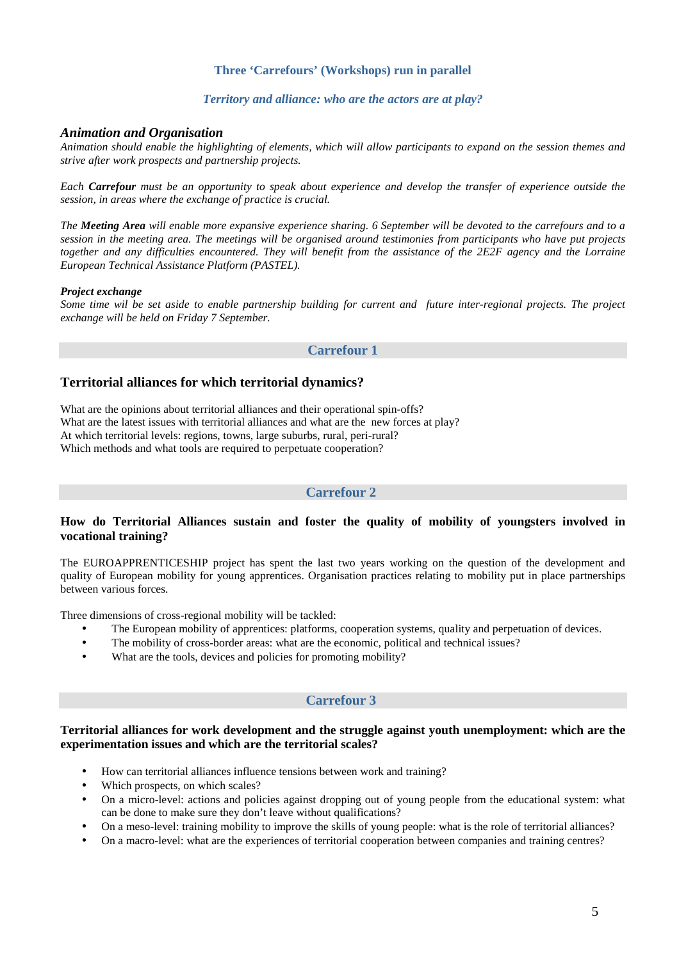#### **Three 'Carrefours' (Workshops) run in parallel**

#### *Territory and alliance: who are the actors are at play?*

#### *Animation and Organisation*

*Animation should enable the highlighting of elements, which will allow participants to expand on the session themes and strive after work prospects and partnership projects.* 

*Each Carrefour must be an opportunity to speak about experience and develop the transfer of experience outside the session, in areas where the exchange of practice is crucial.* 

*The Meeting Area will enable more expansive experience sharing. 6 September will be devoted to the carrefours and to a session in the meeting area. The meetings will be organised around testimonies from participants who have put projects together and any difficulties encountered. They will benefit from the assistance of the 2E2F agency and the Lorraine European Technical Assistance Platform (PASTEL).* 

#### *Project exchange*

*Some time wil be set aside to enable partnership building for current and future inter-regional projects. The project exchange will be held on Friday 7 September.* 

#### **Carrefour 1**

#### **Territorial alliances for which territorial dynamics?**

What are the opinions about territorial alliances and their operational spin-offs? What are the latest issues with territorial alliances and what are the new forces at play? At which territorial levels: regions, towns, large suburbs, rural, peri-rural? Which methods and what tools are required to perpetuate cooperation?

#### **Carrefour 2**

#### **How do Territorial Alliances sustain and foster the quality of mobility of youngsters involved in vocational training?**

The EUROAPPRENTICESHIP project has spent the last two years working on the question of the development and quality of European mobility for young apprentices. Organisation practices relating to mobility put in place partnerships between various forces.

Three dimensions of cross-regional mobility will be tackled:

- The European mobility of apprentices: platforms, cooperation systems, quality and perpetuation of devices.
- The mobility of cross-border areas: what are the economic, political and technical issues?
- What are the tools, devices and policies for promoting mobility?

#### **Carrefour 3**

#### **Territorial alliances for work development and the struggle against youth unemployment: which are the experimentation issues and which are the territorial scales?**

- How can territorial alliances influence tensions between work and training?
- Which prospects, on which scales?
- On a micro-level: actions and policies against dropping out of young people from the educational system: what can be done to make sure they don't leave without qualifications?
- On a meso-level: training mobility to improve the skills of young people: what is the role of territorial alliances?
- On a macro-level: what are the experiences of territorial cooperation between companies and training centres?